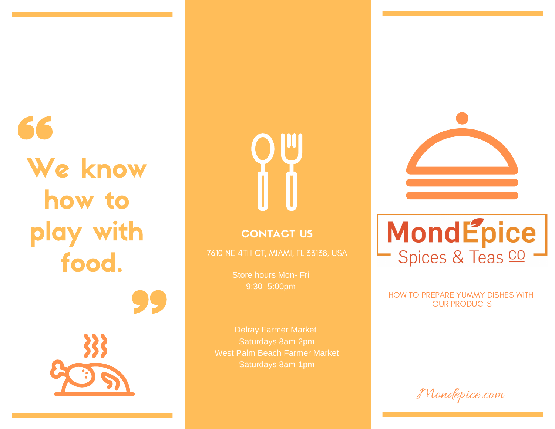We know how to play with food.



# CONTACT US

Store hours Mon- Fri 9:30- 5:00pm

Saturdays 8am-2pm West Palm Beach Farmer Market



# MondEpice<br>- Spices & Teas co -

HOW TO PREPARE YUMMY DISHES WITH OUR PRODUCTS

Mondepice.com